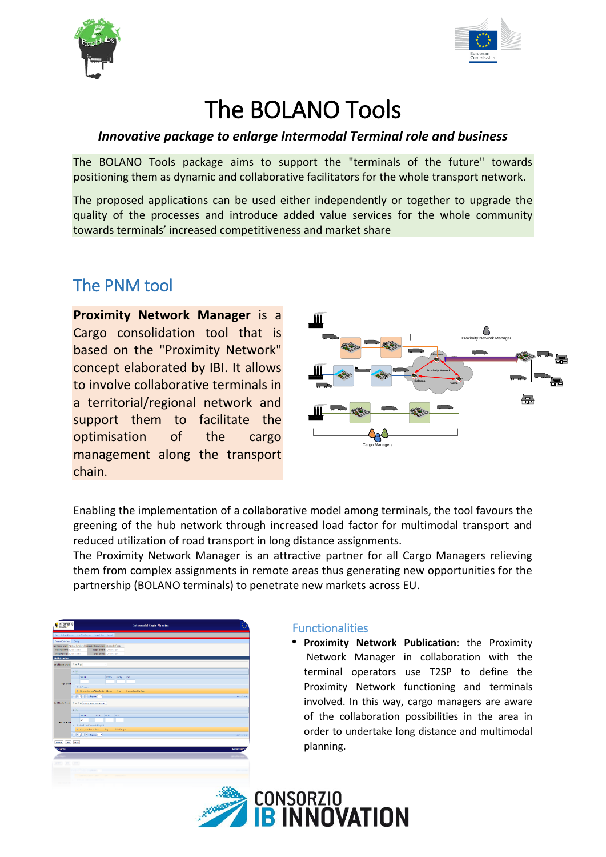



# The BOLANO Tools

### *Innovative package to enlarge Intermodal Terminal role and business*

The BOLANO Tools package aims to support the "terminals of the future" towards positioning them as dynamic and collaborative facilitators for the whole transport network.

The proposed applications can be used either independently or together to upgrade the quality of the processes and introduce added value services for the whole community towards terminals' increased competitiveness and market share

## The PNM tool

**Proximity Network Manager** is a Cargo consolidation tool that is based on the "Proximity Network" concept elaborated by IBI. It allows to involve collaborative terminals in a territorial/regional network and support them to facilitate the optimisation of the cargo management along the transport chain.



Enabling the implementation of a collaborative model among terminals, the tool favours the greening of the hub network through increased load factor for multimodal transport and reduced utilization of road transport in long distance assignments.

The Proximity Network Manager is an attractive partner for all Cargo Managers relieving them from complex assignments in remote areas thus generating new opportunities for the partnership (BOLANO terminals) to penetrate new markets across EU.



### **Functionalities**

**Proximity Network Publication**: the Proximity Network Manager in collaboration with the terminal operators use T2SP to define the Proximity Network functioning and terminals involved. In this way, cargo managers are aware of the collaboration possibilities in the area in order to undertake long distance and multimodal planning.